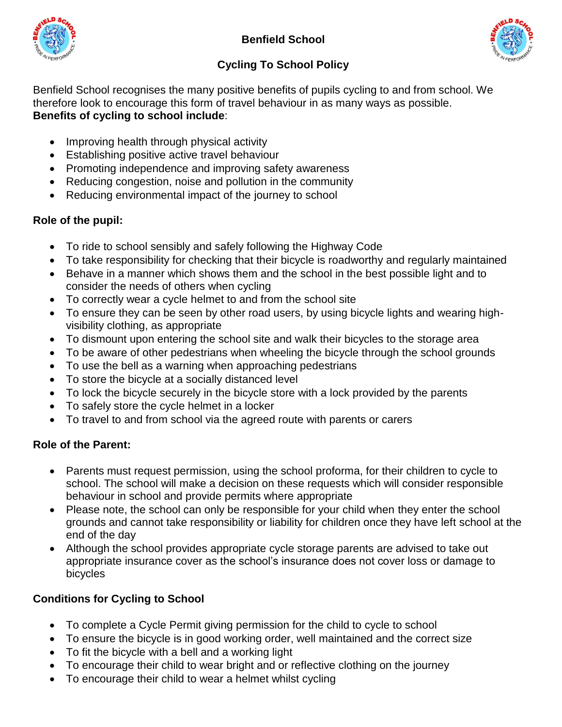



## **Cycling To School Policy**

Benfield School recognises the many positive benefits of pupils cycling to and from school. We therefore look to encourage this form of travel behaviour in as many ways as possible. **Benefits of cycling to school include**:

- Improving health through physical activity
- Establishing positive active travel behaviour
- Promoting independence and improving safety awareness
- Reducing congestion, noise and pollution in the community
- Reducing environmental impact of the journey to school

#### **Role of the pupil:**

- To ride to school sensibly and safely following the Highway Code
- To take responsibility for checking that their bicycle is roadworthy and regularly maintained
- Behave in a manner which shows them and the school in the best possible light and to consider the needs of others when cycling
- To correctly wear a cycle helmet to and from the school site
- To ensure they can be seen by other road users, by using bicycle lights and wearing highvisibility clothing, as appropriate
- To dismount upon entering the school site and walk their bicycles to the storage area
- To be aware of other pedestrians when wheeling the bicycle through the school grounds
- To use the bell as a warning when approaching pedestrians
- To store the bicycle at a socially distanced level
- To lock the bicycle securely in the bicycle store with a lock provided by the parents
- To safely store the cycle helmet in a locker
- To travel to and from school via the agreed route with parents or carers

### **Role of the Parent:**

- Parents must request permission, using the school proforma, for their children to cycle to school. The school will make a decision on these requests which will consider responsible behaviour in school and provide permits where appropriate
- Please note, the school can only be responsible for your child when they enter the school grounds and cannot take responsibility or liability for children once they have left school at the end of the day
- Although the school provides appropriate cycle storage parents are advised to take out appropriate insurance cover as the school's insurance does not cover loss or damage to bicycles

### **Conditions for Cycling to School**

- To complete a Cycle Permit giving permission for the child to cycle to school
- To ensure the bicycle is in good working order, well maintained and the correct size
- To fit the bicycle with a bell and a working light
- To encourage their child to wear bright and or reflective clothing on the journey
- To encourage their child to wear a helmet whilst cycling